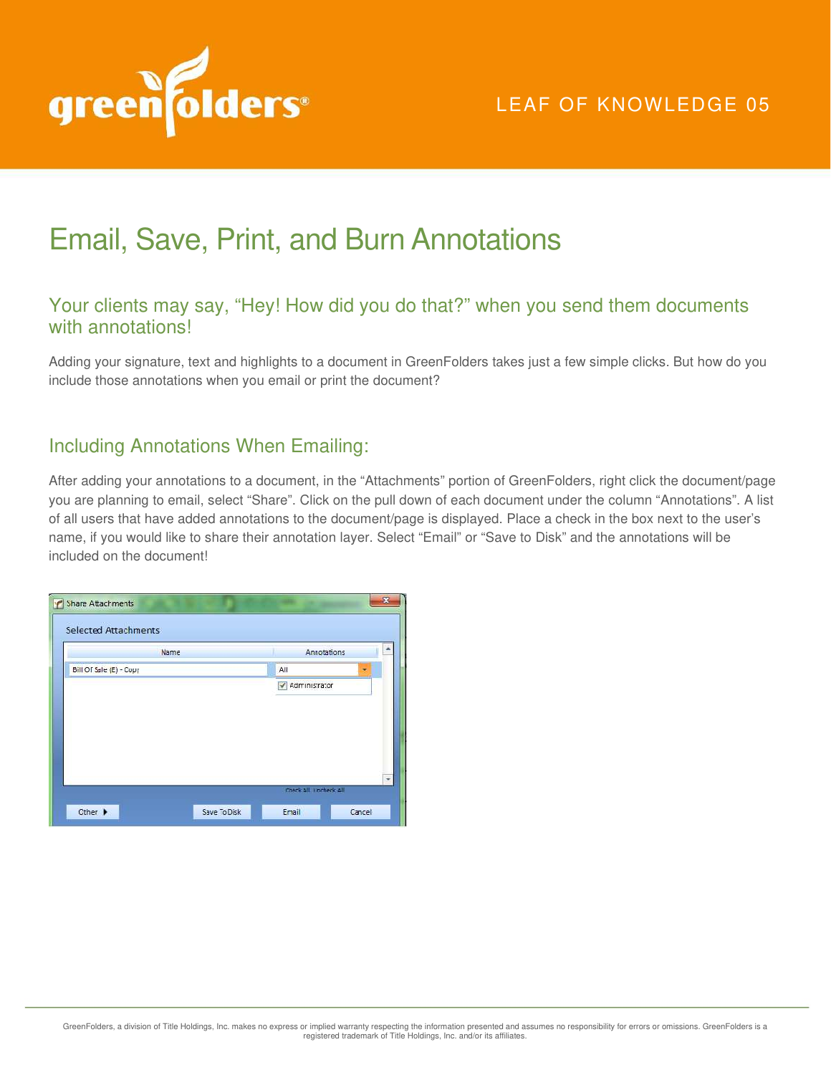

# Email, Save, Print, and Burn Annotations

## Your clients may say, "Hey! How did you do that?" when you send them documents with annotations!

Adding your signature, text and highlights to a document in GreenFolders takes just a few simple clicks. But how do you include those annotations when you email or print the document?

### Including Annotations When Emailing:

After adding your annotations to a document, in the "Attachments" portion of GreenFolders, right click the document/page you are planning to email, select "Share". Click on the pull down of each document under the column "Annotations". A list of all users that have added annotations to the document/page is displayed. Place a check in the box next to the user's name, if you would like to share their annotation layer. Select "Email" or "Save to Disk" and the annotations will be included on the document!

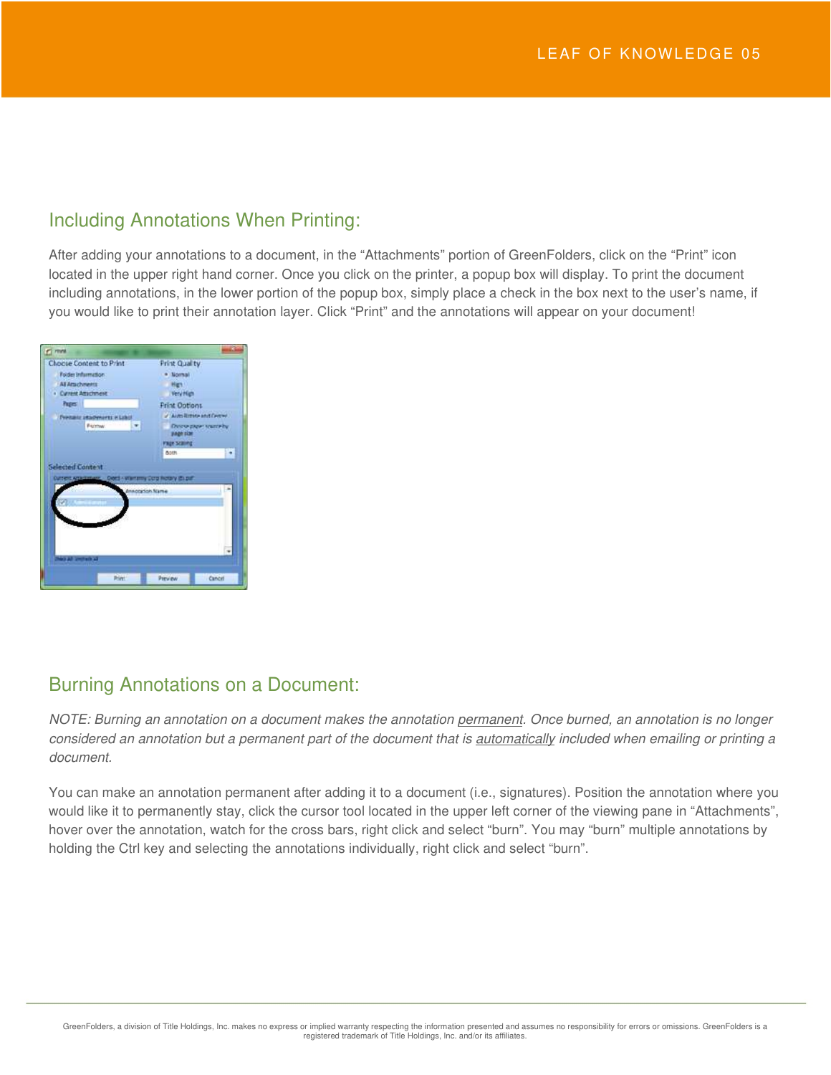#### Including Annotations When Printing:

After adding your annotations to a document, in the "Attachments" portion of GreenFolders, click on the "Print" icon located in the upper right hand corner. Once you click on the printer, a popup box will display. To print the document including annotations, in the lower portion of the popup box, simply place a check in the box next to the user's name, if you would like to print their annotation layer. Click "Print" and the annotations will appear on your document!



# Burning Annotations on a Document:

*NOTE: Burning an annotation on a document makes the annotation permanent. Once burned, an annotation is no longer considered an annotation but a permanent part of the document that is automatically included when emailing or printing a document.* 

You can make an annotation permanent after adding it to a document (i.e., signatures). Position the annotation where you would like it to permanently stay, click the cursor tool located in the upper left corner of the viewing pane in "Attachments", hover over the annotation, watch for the cross bars, right click and select "burn". You may "burn" multiple annotations by holding the Ctrl key and selecting the annotations individually, right click and select "burn".